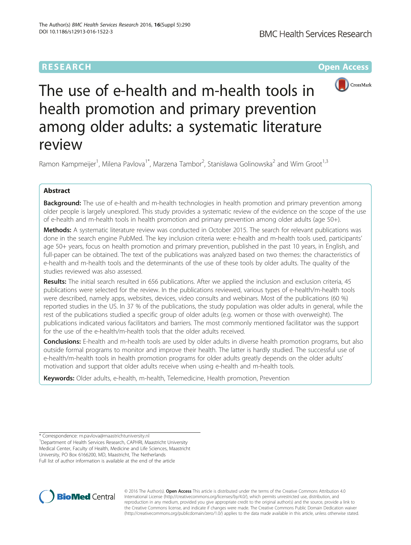# RESEARCH **RESEARCH CONSUMING ACCESS**



# The use of e-health and m-health tools in health promotion and primary prevention among older adults: a systematic literature review

Ramon Kampmeijer<sup>1</sup>, Milena Pavlova<sup>1\*</sup>, Marzena Tambor<sup>2</sup>, Stanisława Golinowska<sup>2</sup> and Wim Groot<sup>1,3</sup>

# Abstract

**Background:** The use of e-health and m-health technologies in health promotion and primary prevention among older people is largely unexplored. This study provides a systematic review of the evidence on the scope of the use of e-health and m-health tools in health promotion and primary prevention among older adults (age 50+).

Methods: A systematic literature review was conducted in October 2015. The search for relevant publications was done in the search engine PubMed. The key inclusion criteria were: e-health and m-health tools used, participants' age 50+ years, focus on health promotion and primary prevention, published in the past 10 years, in English, and full-paper can be obtained. The text of the publications was analyzed based on two themes: the characteristics of e-health and m-health tools and the determinants of the use of these tools by older adults. The quality of the studies reviewed was also assessed.

Results: The initial search resulted in 656 publications. After we applied the inclusion and exclusion criteria, 45 publications were selected for the review. In the publications reviewed, various types of e-health/m-health tools were described, namely apps, websites, devices, video consults and webinars. Most of the publications (60 %) reported studies in the US. In 37 % of the publications, the study population was older adults in general, while the rest of the publications studied a specific group of older adults (e.g. women or those with overweight). The publications indicated various facilitators and barriers. The most commonly mentioned facilitator was the support for the use of the e-health/m-health tools that the older adults received.

Conclusions: E-health and m-health tools are used by older adults in diverse health promotion programs, but also outside formal programs to monitor and improve their health. The latter is hardly studied. The successful use of e-health/m-health tools in health promotion programs for older adults greatly depends on the older adults' motivation and support that older adults receive when using e-health and m-health tools.

Keywords: Older adults, e-health, m-health, Telemedicine, Health promotion, Prevention

\* Correspondence: [m.pavlova@maastrichtuniversity.nl](mailto:m.pavlova@maastrichtuniversity.nl) <sup>1</sup> <sup>1</sup>Department of Health Services Research, CAPHRI, Maastricht University Medical Center, Faculty of Health, Medicine and Life Sciences, Maastricht University, PO Box 6166200, MD, Maastricht, The Netherlands Full list of author information is available at the end of the article



© 2016 The Author(s). Open Access This article is distributed under the terms of the Creative Commons Attribution 4.0 International License [\(http://creativecommons.org/licenses/by/4.0/](http://creativecommons.org/licenses/by/4.0/)), which permits unrestricted use, distribution, and reproduction in any medium, provided you give appropriate credit to the original author(s) and the source, provide a link to the Creative Commons license, and indicate if changes were made. The Creative Commons Public Domain Dedication waiver [\(http://creativecommons.org/publicdomain/zero/1.0/](http://creativecommons.org/publicdomain/zero/1.0/)) applies to the data made available in this article, unless otherwise stated.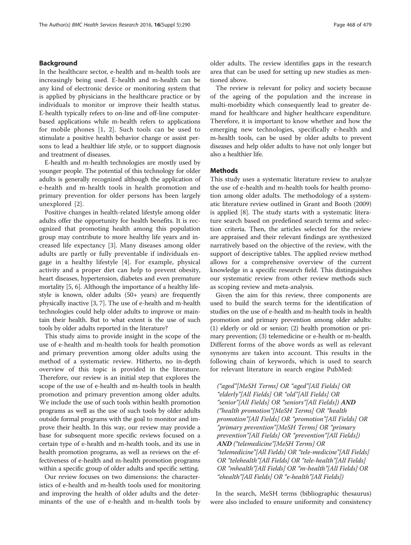### Background

In the healthcare sector, e-health and m-health tools are increasingly being used. E-health and m-health can be any kind of electronic device or monitoring system that is applied by physicians in the healthcare practice or by individuals to monitor or improve their health status. E-health typically refers to on-line and off-line computerbased applications while m-health refers to applications for mobile phones [\[1](#page-11-0), [2\]](#page-11-0). Such tools can be used to stimulate a positive health behavior change or assist persons to lead a healthier life style, or to support diagnosis and treatment of diseases.

E-health and m-health technologies are mostly used by younger people. The potential of this technology for older adults is generally recognized although the application of e-health and m-health tools in health promotion and primary prevention for older persons has been largely unexplored [[2\]](#page-11-0).

Positive changes in health-related lifestyle among older adults offer the opportunity for health benefits. It is recognized that promoting health among this population group may contribute to more healthy life years and increased life expectancy [[3\]](#page-11-0). Many diseases among older adults are partly or fully preventable if individuals engage in a healthy lifestyle [[4\]](#page-12-0). For example, physical activity and a proper diet can help to prevent obesity, heart diseases, hypertension, diabetes and even premature mortality [\[5, 6](#page-12-0)]. Although the importance of a healthy lifestyle is known, older adults (50+ years) are frequently physically inactive [\[3](#page-11-0), [7\]](#page-12-0). The use of e-health and m-health technologies could help older adults to improve or maintain their health. But to what extent is the use of such tools by older adults reported in the literature?

This study aims to provide insight in the scope of the use of e-health and m-health tools for health promotion and primary prevention among older adults using the method of a systematic review. Hitherto, no in-depth overview of this topic is provided in the literature. Therefore, our review is an initial step that explores the scope of the use of e-health and m-health tools in health promotion and primary prevention among older adults. We include the use of such tools within health promotion programs as well as the use of such tools by older adults outside formal programs with the goal to monitor and improve their health. In this way, our review may provide a base for subsequent more specific reviews focused on a certain type of e-health and m-health tools, and its use in health promotion programs, as well as reviews on the effectiveness of e-health and m-health promotion programs within a specific group of older adults and specific setting.

Our review focuses on two dimensions: the characteristics of e-health and m-health tools used for monitoring and improving the health of older adults and the determinants of the use of e-health and m-health tools by older adults. The review identifies gaps in the research area that can be used for setting up new studies as mentioned above.

The review is relevant for policy and society because of the ageing of the population and the increase in multi-morbidity which consequently lead to greater demand for healthcare and higher healthcare expenditure. Therefore, it is important to know whether and how the emerging new technologies, specifically e-health and m-health tools, can be used by older adults to prevent diseases and help older adults to have not only longer but also a healthier life.

## **Methods**

This study uses a systematic literature review to analyze the use of e-health and m-health tools for health promotion among older adults. The methodology of a systematic literature review outlined in Grant and Booth (2009) is applied [[8\]](#page-12-0). The study starts with a systematic literature search based on predefined search terms and selection criteria. Then, the articles selected for the review are appraised and their relevant findings are synthesized narratively based on the objective of the review, with the support of descriptive tables. The applied review method allows for a comprehensive overview of the current knowledge in a specific research field. This distinguishes our systematic review from other review methods such as scoping review and meta-analysis.

Given the aim for this review, three components are used to build the search terms for the identification of studies on the use of e-health and m-health tools in health promotion and primary prevention among older adults: (1) elderly or old or senior; (2) health promotion or primary prevention; (3) telemedicine or e-health or m-health. Different forms of the above words as well as relevant synonyms are taken into account. This results in the following chain of keywords, which is used to search for relevant literature in search engine PubMed:

("aged"[MeSH Terms] OR "aged"[All Fields] OR "elderly"[All Fields] OR "old"[All Fields] OR "senior"[All Fields] OR "seniors"[All Fields]) AND ("health promotion"[MeSH Terms] OR "health promotion"[All Fields] OR "promotion"[All Fields] OR "primary prevention"[MeSH Terms] OR "primary prevention"[All Fields] OR "prevention"[All Fields]) AND ("telemedicine"[MeSH Terms] OR "telemedicine"[All Fields] OR "tele-medicine"[All Fields] OR "telehealth"[All Fields] OR "tele-health"[All Fields] OR "mhealth"[All Fields] OR "m-health"[All Fields] OR "ehealth"[All Fields] OR "e-health"[All Fields])

In the search, MeSH terms (bibliographic thesaurus) were also included to ensure uniformity and consistency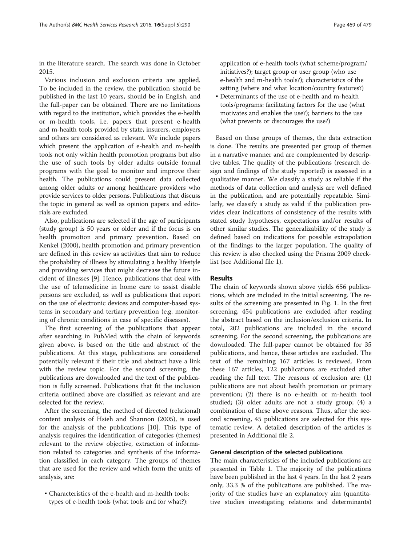in the literature search. The search was done in October 2015.

Various inclusion and exclusion criteria are applied. To be included in the review, the publication should be published in the last 10 years, should be in English, and the full-paper can be obtained. There are no limitations with regard to the institution, which provides the e-health or m-health tools, i.e. papers that present e-health and m-health tools provided by state, insurers, employers and others are considered as relevant. We include papers which present the application of e-health and m-health tools not only within health promotion programs but also the use of such tools by older adults outside formal programs with the goal to monitor and improve their health. The publications could present data collected among older adults or among healthcare providers who provide services to older persons. Publications that discuss the topic in general as well as opinion papers and editorials are excluded.

Also, publications are selected if the age of participants (study group) is 50 years or older and if the focus is on health promotion and primary prevention. Based on Kenkel (2000), health promotion and primary prevention are defined in this review as activities that aim to reduce the probability of illness by stimulating a healthy lifestyle and providing services that might decrease the future incident of illnesses [[9\]](#page-12-0). Hence, publications that deal with the use of telemedicine in home care to assist disable persons are excluded, as well as publications that report on the use of electronic devices and computer-based systems in secondary and tertiary prevention (e.g. monitoring of chronic conditions in case of specific diseases).

The first screening of the publications that appear after searching in PubMed with the chain of keywords given above, is based on the title and abstract of the publications. At this stage, publications are considered potentially relevant if their title and abstract have a link with the review topic. For the second screening, the publications are downloaded and the text of the publication is fully screened. Publications that fit the inclusion criteria outlined above are classified as relevant and are selected for the review.

After the screening, the method of directed (relational) content analysis of Hsieh and Shannon (2005), is used for the analysis of the publications [[10\]](#page-12-0). This type of analysis requires the identification of categories (themes) relevant to the review objective, extraction of information related to categories and synthesis of the information classified in each category. The groups of themes that are used for the review and which form the units of analysis, are:

▪ Characteristics of the e-health and m-health tools: types of e-health tools (what tools and for what?);

application of e-health tools (what scheme/program/ initiatives?); target group or user group (who use e-health and m-health tools?); characteristics of the setting (where and what location/country features?)

▪ Determinants of the use of e-health and m-health tools/programs: facilitating factors for the use (what motivates and enables the use?); barriers to the use (what prevents or discourages the use?)

Based on these groups of themes, the data extraction is done. The results are presented per group of themes in a narrative manner and are complemented by descriptive tables. The quality of the publications (research design and findings of the study reported) is assessed in a qualitative manner. We classify a study as reliable if the methods of data collection and analysis are well defined in the publication, and are potentially repeatable. Similarly, we classify a study as valid if the publication provides clear indications of consistency of the results with stated study hypotheses, expectations and/or results of other similar studies. The generalizability of the study is defined based on indications for possible extrapolation of the findings to the larger population. The quality of this review is also checked using the Prisma 2009 checklist (see Additional file [1\)](#page-11-0).

#### Results

The chain of keywords shown above yields 656 publications, which are included in the initial screening. The results of the screening are presented in Fig. [1.](#page-3-0) In the first screening, 454 publications are excluded after reading the abstract based on the inclusion/exclusion criteria. In total, 202 publications are included in the second screening. For the second screening, the publications are downloaded. The full-paper cannot be obtained for 35 publications, and hence, these articles are excluded. The text of the remaining 167 articles is reviewed. From these 167 articles, 122 publications are excluded after reading the full text. The reasons of exclusion are: (1) publications are not about health promotion or primary prevention; (2) there is no e-health or m-health tool studied; (3) older adults are not a study group; (4) a combination of these above reasons. Thus, after the second screening, 45 publications are selected for this systematic review. A detailed description of the articles is presented in Additional file [2.](#page-11-0)

#### General description of the selected publications

The main characteristics of the included publications are presented in Table [1](#page-4-0). The majority of the publications have been published in the last 4 years. In the last 2 years only, 33.3 % of the publications are published. The majority of the studies have an explanatory aim (quantitative studies investigating relations and determinants)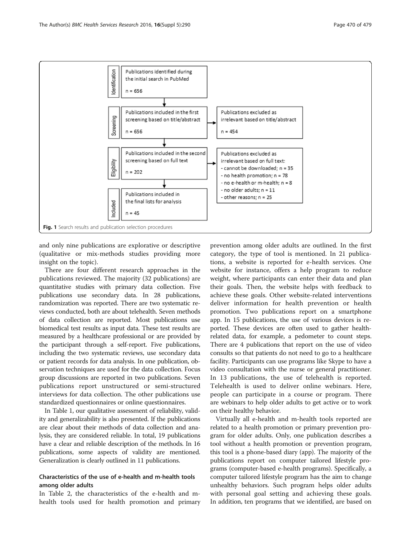<span id="page-3-0"></span>

and only nine publications are explorative or descriptive (qualitative or mix-methods studies providing more insight on the topic).

There are four different research approaches in the publications reviewed. The majority (32 publications) are quantitative studies with primary data collection. Five publications use secondary data. In 28 publications, randomization was reported. There are two systematic reviews conducted, both are about telehealth. Seven methods of data collection are reported. Most publications use biomedical test results as input data. These test results are measured by a healthcare professional or are provided by the participant through a self-report. Five publications, including the two systematic reviews, use secondary data or patient records for data analysis. In one publication, observation techniques are used for the data collection. Focus group discussions are reported in two publications. Seven publications report unstructured or semi-structured interviews for data collection. The other publications use standardized questionnaires or online questionnaires.

In Table [1](#page-4-0), our qualitative assessment of reliability, validity and generalizability is also presented. If the publications are clear about their methods of data collection and analysis, they are considered reliable. In total, 19 publications have a clear and reliable description of the methods. In 16 publications, some aspects of validity are mentioned. Generalization is clearly outlined in 11 publications.

## Characteristics of the use of e-health and m-health tools among older adults

In Table [2](#page-5-0), the characteristics of the e-health and mhealth tools used for health promotion and primary

prevention among older adults are outlined. In the first category, the type of tool is mentioned. In 21 publications, a website is reported for e-health services. One website for instance, offers a help program to reduce weight, where participants can enter their data and plan their goals. Then, the website helps with feedback to achieve these goals. Other website-related interventions deliver information for health prevention or health promotion. Two publications report on a smartphone app. In 15 publications, the use of various devices is reported. These devices are often used to gather healthrelated data, for example, a pedometer to count steps. There are 4 publications that report on the use of video consults so that patients do not need to go to a healthcare facility. Participants can use programs like Skype to have a video consultation with the nurse or general practitioner. In 13 publications, the use of telehealth is reported. Telehealth is used to deliver online webinars. Here, people can participate in a course or program. There are webinars to help older adults to get active or to work on their healthy behavior.

Virtually all e-health and m-health tools reported are related to a health promotion or primary prevention program for older adults. Only, one publication describes a tool without a health promotion or prevention program, this tool is a phone-based diary (app). The majority of the publications report on computer tailored lifestyle programs (computer-based e-health programs). Specifically, a computer tailored lifestyle program has the aim to change unhealthy behaviors. Such program helps older adults with personal goal setting and achieving these goals. In addition, ten programs that we identified, are based on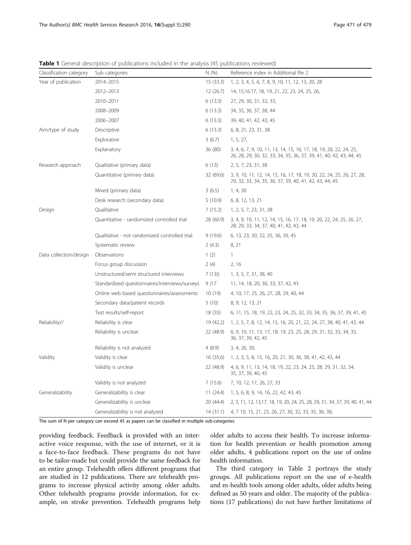| Classification category | Sub categories                                 | N(% )       | Reference index in Additional file 2                                                                                                     |
|-------------------------|------------------------------------------------|-------------|------------------------------------------------------------------------------------------------------------------------------------------|
| Year of publication     | 2014-2015                                      | 15 (33.3)   | 1, 2, 3, 4, 5, 6, 7, 8, 9, 10, 11, 12, 13, 20, 28                                                                                        |
|                         | 2012-2013                                      | 12(26.7)    | 14, 15, 16, 17, 18, 19, 21, 22, 23, 24, 25, 26,                                                                                          |
|                         | 2010-2011                                      | 6(13.3)     | 27, 29, 30, 31, 32, 33,                                                                                                                  |
|                         | 2008-2009                                      | 6(13.3)     | 34, 35, 36, 37, 38, 44                                                                                                                   |
|                         | 2006-2007                                      | 6(13.3)     | 39, 40, 41, 42, 43, 45                                                                                                                   |
| Aim/type of study       | Descriptive                                    | 6(13.3)     | 6, 8, 21, 23, 31, 38                                                                                                                     |
|                         | Explorative                                    | 3(6.7)      | 1, 5, 27,                                                                                                                                |
|                         | Explanatory                                    | 36 (80)     | 3, 4, 6, 7, 9, 10, 11, 13, 14, 15, 16, 17, 18, 19, 20, 22, 24, 25,<br>26, 28, 29, 30, 32, 33, 34, 35, 36, 37, 39, 41, 40, 42, 43, 44, 45 |
| Research approach       | Qualitative (primary data)                     | 6 (13)      | 2, 5, 7, 23, 31, 38                                                                                                                      |
|                         | Quantitative (primary data)                    | 32 (69.6)   | 3, 9, 10, 11, 12, 14, 15, 16, 17, 18, 19, 20, 22, 24, 25, 26, 27, 28,<br>29, 32, 33, 34, 35, 36, 37, 39, 40, 41, 42, 43, 44, 45          |
|                         | Mixed (primary data)                           | 3(6.5)      | 1, 4, 30                                                                                                                                 |
|                         | Desk research (secondary data)                 | 5(10.9)     | 6, 8, 12, 13, 21                                                                                                                         |
| Design                  | Oualitative                                    | 7(15.2)     | 1, 2, 5, 7, 23, 31, 38                                                                                                                   |
|                         | Quantitative - randomized controlled trial     | 28 (60.9)   | 3, 4, 9, 10, 11, 12, 14, 15, 16, 17, 18, 19, 20, 22, 24, 25, 26, 27,<br>28, 29, 33, 34, 37, 40, 41, 42, 43, 44                           |
|                         | Qualitative - not randomized controlled trial  | 9(19.6)     | 6, 13, 23, 30, 32, 35, 36, 39, 45                                                                                                        |
|                         | Systematic review                              | 2(4.3)      | 8, 21                                                                                                                                    |
| Data collection/design  | Observations                                   | 1(2)        | $\mathbf{1}$                                                                                                                             |
|                         | Focus group discussion                         | 2(4)        | 2,16                                                                                                                                     |
|                         | Unstructured/semi structured interviews        | 7(13)       | 1, 3, 5, 7, 31, 38, 40                                                                                                                   |
|                         | Standardized questionnaires/interviews/surveys | 9(17)       | 11, 14, 18, 20, 30, 33, 37, 42, 43                                                                                                       |
|                         | Online web based questionnaires/assessments    | 10 (19)     | 4, 10, 17, 25, 26, 27, 28, 29, 40, 44                                                                                                    |
|                         | Secondary data/patient records                 | 5(10)       | 8, 9, 12, 13, 21                                                                                                                         |
|                         | Test results/self-report                       | 18(35)      | 6, 11, 15, 18, 19, 22, 23, 24, 25, 32, 33, 34, 35, 36, 37, 39, 41, 45                                                                    |
| Reliability//           | Reliability is clear                           | 19 (42.2)   | 1, 2, 5, 7, 8, 12, 14, 15, 16, 20, 21, 22, 24, 27, 38, 40, 41, 43, 44                                                                    |
|                         | Reliability is unclear                         | 22 (48.9)   | 6, 9, 10, 11, 13, 17, 18, 19, 23, 25, 28, 29, 31, 32, 33, 34, 35,<br>36, 37, 39, 42, 45                                                  |
|                         | Reliability is not analyzed                    | 4(8.9)      | 3, 4, 26, 30,                                                                                                                            |
| Validity                | Validity is clear                              | 16 (35.6)   | 1, 2, 3, 5, 8, 15, 16, 20, 21, 30, 36, 38, 41, 42, 43, 44                                                                                |
|                         | Validity is unclear                            | 22 (48.9)   | 4, 6, 9, 11, 13, 14, 18, 19, 22, 23, 24, 25, 28, 29, 31, 32, 34,<br>35, 37, 39, 40, 45                                                   |
|                         | Validity is not analyzed                       | 7(15.6)     | 7, 10, 12, 17, 26, 27, 33                                                                                                                |
| Generalizability        | Generalizability is clear                      | 11 $(24.4)$ | 1, 5, 6, 8, 9, 14, 16, 22, 42, 43, 45                                                                                                    |
|                         | Generalizability is unclear                    | 20 (44.4)   | 2, 3, 11, 12, 13, 17, 18, 19, 20, 24, 25, 28, 29, 31, 34, 37, 39, 40, 41, 44                                                             |
|                         | Generalizability is not analyzed               |             | 14 (31.1) 4, 7 10, 15, 21, 23, 26, 27, 30, 32, 33, 35, 36, 38,                                                                           |

<span id="page-4-0"></span>**Table 1** General description of publications included in the analysis (45 publications reviewed)

providing feedback. Feedback is provided with an interactive voice response, with the use of internet, or it is a face-to-face feedback. These programs do not have to be tailor-made but could provide the same feedback for an entire group. Telehealth offers different programs that are studied in 12 publications. There are telehealth programs to increase physical activity among older adults. Other telehealth programs provide information, for example, on stroke prevention. Telehealth programs help

older adults to access their health. To increase information for health prevention or health promotion among older adults, 4 publications report on the use of online health information.

The third category in Table [2](#page-5-0) portrays the study groups. All publications report on the use of e-health and m-health tools among older adults, older adults being defined as 50 years and older. The majority of the publications (17 publications) do not have further limitations of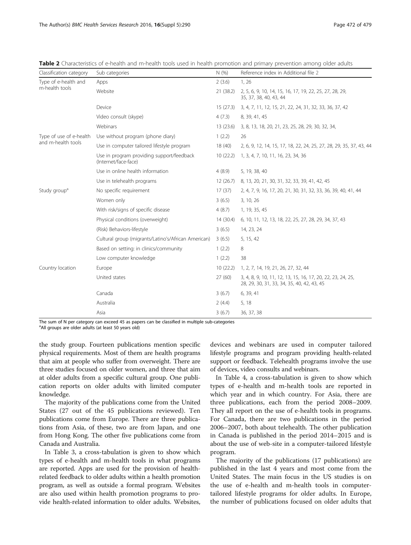| Classification category                | Sub categories                                                    | N(% )     | Reference index in Additional file 2                                                                      |
|----------------------------------------|-------------------------------------------------------------------|-----------|-----------------------------------------------------------------------------------------------------------|
| Type of e-health and<br>m-health tools | Apps                                                              | 2(3.6)    | 1,26                                                                                                      |
|                                        | Website                                                           | 21 (38.2) | 2, 5, 6, 9, 10, 14, 15, 16, 17, 19, 22, 25, 27, 28, 29,<br>35, 37, 38, 40, 43, 44                         |
|                                        | Device                                                            | 15(27.3)  | 3, 4, 7, 11, 12, 15, 21, 22, 24, 31, 32, 33, 36, 37, 42                                                   |
|                                        | Video consult (skype)                                             | 4(7.3)    | 8, 39, 41, 45                                                                                             |
|                                        | Webinars                                                          | 13(23.6)  | 3, 8, 13, 18, 20, 21, 23, 25, 28, 29, 30, 32, 34,                                                         |
| Type of use of e-health                | Use without program (phone diary)                                 | 1(2.2)    | 26                                                                                                        |
| and m-health tools                     | Use in computer tailored lifestyle program                        | 18(40)    | 2, 6, 9, 12, 14, 15, 17, 18, 22, 24, 25, 27, 28, 29, 35, 37, 43, 44                                       |
|                                        | Use in program providing support/feedback<br>(Internet/face-face) | 10(22.2)  | 1, 3, 4, 7, 10, 11, 16, 23, 34, 36                                                                        |
|                                        | Use in online health information                                  | 4(8.9)    | 5, 19, 38, 40                                                                                             |
|                                        | Use in telehealth programs                                        | 12(26.7)  | 8, 13, 20, 21, 30, 31, 32, 33, 39, 41, 42, 45                                                             |
| Study group <sup>a</sup>               | No specific requirement                                           | 17(37)    | 2, 4, 7, 9, 16, 17, 20, 21, 30, 31, 32, 33, 36, 39, 40, 41, 44                                            |
|                                        | Women only                                                        | 3(6.5)    | 3, 10, 26                                                                                                 |
|                                        | With risk/signs of specific disease                               | 4(8.7)    | 1, 19, 35, 45                                                                                             |
|                                        | Physical conditions (overweight)                                  | 14 (30.4) | 6, 10, 11, 12, 13, 18, 22, 25, 27, 28, 29, 34, 37, 43                                                     |
|                                        | (Risk) Behaviors-lifestyle                                        | 3(6.5)    | 14, 23, 24                                                                                                |
|                                        | Cultural group (migrants/Latino's/African American)               | 3(6.5)    | 5, 15, 42                                                                                                 |
|                                        | Based on setting: in clinics/community                            | 1(2.2)    | 8                                                                                                         |
|                                        | Low computer knowledge                                            | 1(2.2)    | 38                                                                                                        |
| Country location                       | Europe                                                            | 10(22.2)  | 1, 2, 7, 14, 19, 21, 26, 27, 32, 44                                                                       |
|                                        | United states                                                     | 27(60)    | 3, 4, 8, 9, 10, 11, 12, 13, 15, 16, 17, 20, 22, 23, 24, 25,<br>28, 29, 30, 31, 33, 34, 35, 40, 42, 43, 45 |
|                                        | Canada                                                            | 3(6.7)    | 6, 39, 41                                                                                                 |
|                                        | Australia                                                         | 2(4.4)    | 5, 18                                                                                                     |
|                                        | Asia                                                              | 3(6.7)    | 36, 37, 38                                                                                                |

<span id="page-5-0"></span>Table 2 Characteristics of e-health and m-health tools used in health promotion and primary prevention among older adults

<sup>a</sup> All groups are older adults (at least 50 years old)

the study group. Fourteen publications mention specific physical requirements. Most of them are health programs that aim at people who suffer from overweight. There are three studies focused on older women, and three that aim at older adults from a specific cultural group. One publication reports on older adults with limited computer knowledge.

The majority of the publications come from the United States (27 out of the 45 publications reviewed). Ten publications come from Europe. There are three publications from Asia, of these, two are from Japan, and one from Hong Kong. The other five publications come from Canada and Australia.

In Table [3](#page-6-0), a cross-tabulation is given to show which types of e-health and m-health tools in what programs are reported. Apps are used for the provision of healthrelated feedback to older adults within a health promotion program, as well as outside a formal program. Websites are also used within health promotion programs to provide health-related information to older adults. Websites,

devices and webinars are used in computer tailored lifestyle programs and program providing health-related support or feedback. Telehealth programs involve the use of devices, video consults and webinars.

In Table [4](#page-7-0), a cross-tabulation is given to show which types of e-health and m-health tools are reported in which year and in which country. For Asia, there are three publications, each from the period 2008–2009. They all report on the use of e-health tools in programs. For Canada, there are two publications in the period 2006–2007, both about telehealth. The other publication in Canada is published in the period 2014–2015 and is about the use of web-site in a computer-tailored lifestyle program.

The majority of the publications (17 publications) are published in the last 4 years and most come from the United States. The main focus in the US studies is on the use of e-health and m-health tools in computertailored lifestyle programs for older adults. In Europe, the number of publications focused on older adults that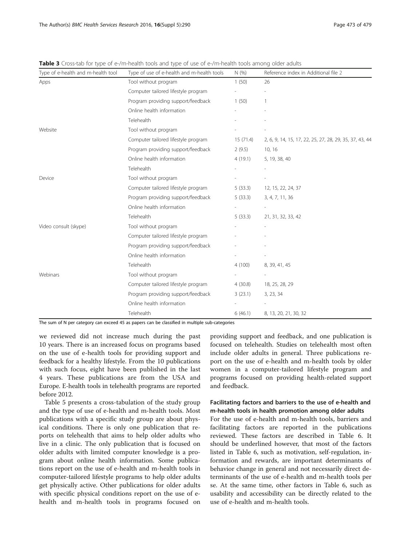| Page 473 of 47 |  |  |  |
|----------------|--|--|--|
|----------------|--|--|--|

| Type of e-health and m-health tool | Type of use of e-health and m-health tools | N(%)      | Reference index in Additional file 2                    |
|------------------------------------|--------------------------------------------|-----------|---------------------------------------------------------|
| Apps                               | Tool without program                       | 1(50)     | 26                                                      |
|                                    | Computer tailored lifestyle program        |           |                                                         |
|                                    | Program providing support/feedback         | 1(50)     |                                                         |
|                                    | Online health information                  |           |                                                         |
|                                    | Telehealth                                 |           |                                                         |
| Website                            | Tool without program                       |           |                                                         |
|                                    | Computer tailored lifestyle program        | 15 (71.4) | 2, 6, 9, 14, 15, 17, 22, 25, 27, 28, 29, 35, 37, 43, 44 |
|                                    | Program providing support/feedback         | 2(9.5)    | 10, 16                                                  |
|                                    | Online health information                  | 4(19.1)   | 5, 19, 38, 40                                           |
|                                    | Telehealth                                 |           |                                                         |
| Device                             | Tool without program                       |           |                                                         |
|                                    | Computer tailored lifestyle program        | 5(33.3)   | 12, 15, 22, 24, 37                                      |
|                                    | Program providing support/feedback         | 5(33.3)   | 3, 4, 7, 11, 36                                         |
|                                    | Online health information                  |           |                                                         |
|                                    | Telehealth                                 | 5(33.3)   | 21, 31, 32, 33, 42                                      |
| Video consult (skype)              | Tool without program                       |           |                                                         |
|                                    | Computer tailored lifestyle program        |           |                                                         |
|                                    | Program providing support/feedback         |           |                                                         |
|                                    | Online health information                  |           |                                                         |
|                                    | Telehealth                                 | 4(100)    | 8, 39, 41, 45                                           |
| Webinars                           | Tool without program                       |           |                                                         |
|                                    | Computer tailored lifestyle program        | 4 (30.8)  | 18, 25, 28, 29                                          |
|                                    | Program providing support/feedback         | 3(23.1)   | 3, 23, 34                                               |
|                                    | Online health information                  |           |                                                         |
|                                    | Telehealth                                 | 6(46.1)   | 8, 13, 20, 21, 30, 32                                   |

<span id="page-6-0"></span>Table 3 Cross-tab for type of e-/m-health tools and type of use of e-/m-health tools among older adults

we reviewed did not increase much during the past 10 years. There is an increased focus on programs based on the use of e-health tools for providing support and feedback for a healthy lifestyle. From the 10 publications with such focus, eight have been published in the last 4 years. These publications are from the USA and Europe. E-health tools in telehealth programs are reported before 2012.

Table [5](#page-8-0) presents a cross-tabulation of the study group and the type of use of e-health and m-health tools. Most publications with a specific study group are about physical conditions. There is only one publication that reports on telehealth that aims to help older adults who live in a clinic. The only publication that is focused on older adults with limited computer knowledge is a program about online health information. Some publications report on the use of e-health and m-health tools in computer-tailored lifestyle programs to help older adults get physically active. Other publications for older adults with specific physical conditions report on the use of ehealth and m-health tools in programs focused on

providing support and feedback, and one publication is focused on telehealth. Studies on telehealth most often include older adults in general. Three publications report on the use of e-health and m-health tools by older women in a computer-tailored lifestyle program and programs focused on providing health-related support and feedback.

# Facilitating factors and barriers to the use of e-health and m-health tools in health promotion among older adults

For the use of e-health and m-health tools, barriers and facilitating factors are reported in the publications reviewed. These factors are described in Table [6.](#page-9-0) It should be underlined however, that most of the factors listed in Table [6](#page-9-0), such as motivation, self-regulation, information and rewards, are important determinants of behavior change in general and not necessarily direct determinants of the use of e-health and m-health tools per se. At the same time, other factors in Table [6,](#page-9-0) such as usability and accessibility can be directly related to the use of e-health and m-health tools.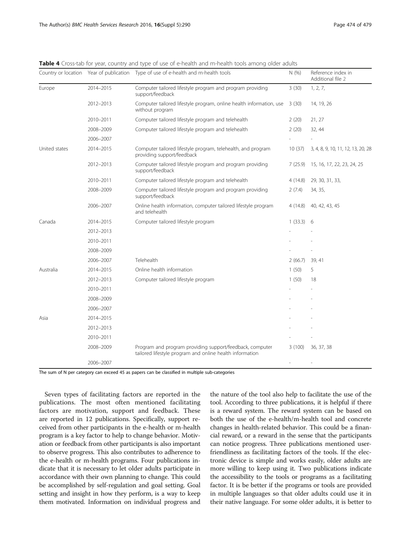|               |           | Country or location Year of publication Type of use of e-health and m-health tools                                   | N(%)    | Reference index in<br>Additional file 2 |
|---------------|-----------|----------------------------------------------------------------------------------------------------------------------|---------|-----------------------------------------|
| Europe        | 2014-2015 | Computer tailored lifestyle program and program providing<br>3(30)<br>support/feedback                               |         | 1, 2, 7,                                |
|               | 2012-2013 | Computer tailored lifestyle program, online health information, use<br>without program                               | 3(30)   | 14, 19, 26                              |
|               | 2010-2011 | Computer tailored lifestyle program and telehealth                                                                   | 2(20)   | 21, 27                                  |
|               | 2008-2009 | Computer tailored lifestyle program and telehealth                                                                   | 2(20)   | 32, 44                                  |
|               | 2006-2007 |                                                                                                                      |         |                                         |
| United states | 2014-2015 | Computer tailored lifestyle program, telehealth, and program<br>providing support/feedback                           | 10(37)  | 3, 4, 8, 9, 10, 11, 12, 13, 20, 28      |
|               | 2012-2013 | Computer tailored lifestyle program and program providing<br>support/feedback                                        | 7(25.9) | 15, 16, 17, 22, 23, 24, 25              |
|               | 2010-2011 | Computer tailored lifestyle program and telehealth                                                                   | 4(14.8) | 29, 30, 31, 33,                         |
|               | 2008-2009 | Computer tailored lifestyle program and program providing<br>support/feedback                                        | 2(7.4)  | 34, 35,                                 |
|               | 2006-2007 | Online health information, computer tailored lifestyle program<br>and telehealth                                     | 4(14.8) | 40, 42, 43, 45                          |
| Canada        | 2014-2015 | Computer tailored lifestyle program                                                                                  | 1(33.3) | 6                                       |
|               | 2012-2013 |                                                                                                                      |         |                                         |
|               | 2010-2011 |                                                                                                                      |         |                                         |
|               | 2008-2009 |                                                                                                                      |         |                                         |
|               | 2006-2007 | Telehealth                                                                                                           | 2(66.7) | 39, 41                                  |
| Australia     | 2014-2015 | Online health information                                                                                            | 1(50)   | 5                                       |
|               | 2012-2013 | Computer tailored lifestyle program                                                                                  | 1(50)   | 18                                      |
|               | 2010-2011 |                                                                                                                      |         |                                         |
|               | 2008-2009 |                                                                                                                      |         |                                         |
|               | 2006-2007 |                                                                                                                      |         |                                         |
| Asia          | 2014-2015 |                                                                                                                      |         |                                         |
|               | 2012-2013 |                                                                                                                      |         |                                         |
|               | 2010-2011 |                                                                                                                      |         |                                         |
|               | 2008-2009 | Program and program providing support/feedback, computer<br>tailored lifestyle program and online health information | 3(100)  | 36, 37, 38                              |
|               | 2006-2007 |                                                                                                                      |         |                                         |

<span id="page-7-0"></span>Table 4 Cross-tab for year, country and type of use of e-health and m-health tools among older adults

Seven types of facilitating factors are reported in the publications. The most often mentioned facilitating factors are motivation, support and feedback. These are reported in 12 publications. Specifically, support received from other participants in the e-health or m-health program is a key factor to help to change behavior. Motivation or feedback from other participants is also important to observe progress. This also contributes to adherence to the e-health or m-health programs. Four publications indicate that it is necessary to let older adults participate in accordance with their own planning to change. This could be accomplished by self-regulation and goal setting. Goal setting and insight in how they perform, is a way to keep them motivated. Information on individual progress and the nature of the tool also help to facilitate the use of the tool. According to three publications, it is helpful if there is a reward system. The reward system can be based on both the use of the e-health/m-health tool and concrete changes in health-related behavior. This could be a financial reward, or a reward in the sense that the participants can notice progress. Three publications mentioned userfriendliness as facilitating factors of the tools. If the electronic device is simple and works easily, older adults are more willing to keep using it. Two publications indicate the accessibility to the tools or programs as a facilitating factor. It is be better if the programs or tools are provided in multiple languages so that older adults could use it in their native language. For some older adults, it is better to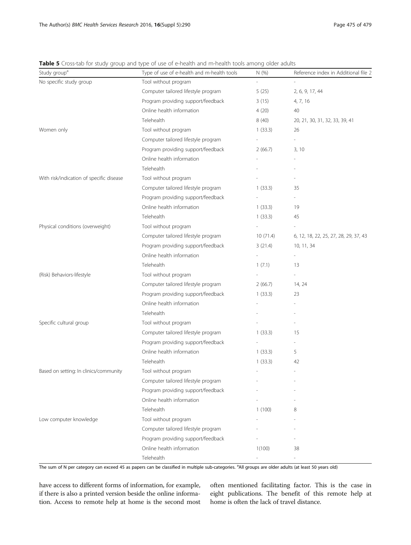The sum of N per category can exceed 45 as papers can be classified in multiple sub-categories. <sup>a</sup>All groups are older adults (at least 50 years old)

<span id="page-8-0"></span>

|  |  |  |  |  | Table 5 Cross-tab for study group and type of use of e-health and m-health tools among older adults |  |  |  |
|--|--|--|--|--|-----------------------------------------------------------------------------------------------------|--|--|--|
|--|--|--|--|--|-----------------------------------------------------------------------------------------------------|--|--|--|

| Study group <sup>a</sup>                 | Type of use of e-health and m-health tools | N(%)     | Reference index in Additional file 2  |
|------------------------------------------|--------------------------------------------|----------|---------------------------------------|
| No specific study group                  | Tool without program                       |          |                                       |
|                                          | Computer tailored lifestyle program        | 5(25)    | 2, 6, 9, 17, 44                       |
|                                          | Program providing support/feedback         | 3(15)    | 4, 7, 16                              |
|                                          | Online health information                  | 4(20)    | 40                                    |
|                                          | Telehealth                                 | 8(40)    | 20, 21, 30, 31, 32, 33, 39, 41        |
| Women only                               | Tool without program                       | 1(33.3)  | 26                                    |
|                                          | Computer tailored lifestyle program        |          |                                       |
|                                          | Program providing support/feedback         | 2(66.7)  | 3, 10                                 |
|                                          | Online health information                  |          |                                       |
|                                          | Telehealth                                 |          |                                       |
| With risk/indication of specific disease | Tool without program                       |          |                                       |
|                                          | Computer tailored lifestyle program        | 1(33.3)  | 35                                    |
|                                          | Program providing support/feedback         |          |                                       |
|                                          | Online health information                  | 1(33.3)  | 19                                    |
|                                          | Telehealth                                 | 1(33.3)  | 45                                    |
| Physical conditions (overweight)         | Tool without program                       |          |                                       |
|                                          | Computer tailored lifestyle program        | 10(71.4) | 6, 12, 18, 22, 25, 27, 28, 29, 37, 43 |
|                                          | Program providing support/feedback         | 3(21.4)  | 10, 11, 34                            |
|                                          | Online health information                  |          |                                       |
|                                          | Telehealth                                 | 1(7.1)   | 13                                    |
| (Risk) Behaviors-lifestyle               | Tool without program                       |          |                                       |
|                                          | Computer tailored lifestyle program        | 2(66.7)  | 14, 24                                |
|                                          | Program providing support/feedback         | 1(33.3)  | 23                                    |
|                                          | Online health information                  |          |                                       |
|                                          | Telehealth                                 |          |                                       |
| Specific cultural group                  | Tool without program                       |          |                                       |
|                                          | Computer tailored lifestyle program        | 1(33.3)  | 15                                    |
|                                          | Program providing support/feedback         |          |                                       |
|                                          | Online health information                  | 1(33.3)  | 5                                     |
|                                          | Telehealth                                 | 1(33.3)  | 42                                    |
| Based on setting: In clinics/community   | Tool without program                       |          |                                       |
|                                          | Computer tailored lifestyle program        |          |                                       |
|                                          | Program providing support/feedback         |          |                                       |
|                                          | Online health information                  |          |                                       |
|                                          | Telehealth                                 | 1(100)   | 8                                     |
| Low computer knowledge                   | Tool without program                       |          |                                       |
|                                          | Computer tailored lifestyle program        |          |                                       |
|                                          | Program providing support/feedback         |          |                                       |
|                                          | Online health information                  | 1(100)   | 38                                    |
|                                          | Telehealth                                 |          |                                       |

have access to different forms of information, for example, if there is also a printed version beside the online information. Access to remote help at home is the second most

often mentioned facilitating factor. This is the case in eight publications. The benefit of this remote help at home is often the lack of travel distance.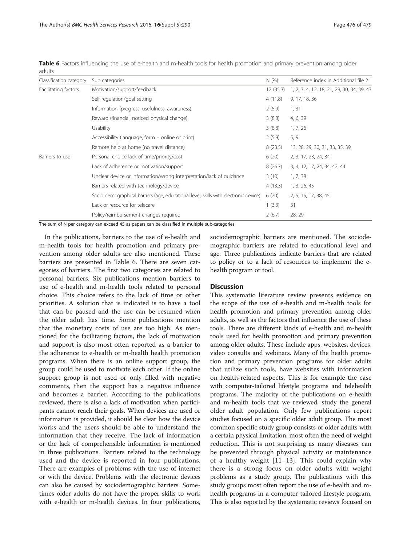| Classification category | Sub categories                                                                       | N(%)      | Reference index in Additional file 2       |
|-------------------------|--------------------------------------------------------------------------------------|-----------|--------------------------------------------|
| Facilitating factors    | Motivation/support/feedback                                                          | 12 (35.3) | 1, 2, 3, 4, 12, 18, 21, 29, 30, 34, 39, 43 |
|                         | Self-regulation/goal setting                                                         | 4(11.8)   | 9, 17, 18, 36                              |
|                         | Information (progress, usefulness, awareness)                                        | 2(5.9)    | 1, 31                                      |
|                         | Reward (financial, noticed physical change)<br>3(8.8)                                |           | 4, 6, 39                                   |
|                         | Usability<br>3(8.8)                                                                  |           | 1, 7, 26                                   |
| Barriers to use         | Accessibility (language, form – online or print)<br>2(5.9)                           |           | 5, 9                                       |
|                         | Remote help at home (no travel distance)                                             | 8(23.5)   | 13, 28, 29, 30, 31, 33, 35, 39             |
|                         | Personal choice lack of time/priority/cost                                           | 6(20)     | 2, 3, 17, 23, 24, 34                       |
|                         | Lack of adherence or motivation/support                                              | 8(26.7)   | 3, 4, 12, 17, 24, 34, 42, 44               |
|                         | Unclear device or information/wrong interpretation/lack of guidance                  | 3(10)     | 1, 7, 38                                   |
|                         | Barriers related with technology/device                                              | 4(13.3)   | 1, 3, 26, 45                               |
|                         | Socio demographical barriers (age, educational level, skills with electronic device) |           | 2, 5, 15, 17, 38, 45                       |
|                         | Lack or resource for telecare                                                        |           | 31                                         |
|                         | Policy/reimbursement changes required                                                | 2(6.7)    | 28, 29                                     |

<span id="page-9-0"></span>Table 6 Factors influencing the use of e-health and m-health tools for health promotion and primary prevention among older adults

In the publications, barriers to the use of e-health and m-health tools for health promotion and primary prevention among older adults are also mentioned. These barriers are presented in Table 6. There are seven categories of barriers. The first two categories are related to personal barriers. Six publications mention barriers to use of e-health and m-health tools related to personal choice. This choice refers to the lack of time or other priorities. A solution that is indicated is to have a tool that can be paused and the use can be resumed when the older adult has time. Some publications mention that the monetary costs of use are too high. As mentioned for the facilitating factors, the lack of motivation and support is also most often reported as a barrier to the adherence to e-health or m-health health promotion programs. When there is an online support group, the group could be used to motivate each other. If the online support group is not used or only filled with negative comments, then the support has a negative influence and becomes a barrier. According to the publications reviewed, there is also a lack of motivation when participants cannot reach their goals. When devices are used or information is provided, it should be clear how the device works and the users should be able to understand the information that they receive. The lack of information or the lack of comprehensible information is mentioned in three publications. Barriers related to the technology used and the device is reported in four publications. There are examples of problems with the use of internet or with the device. Problems with the electronic devices can also be caused by sociodemographic barriers. Sometimes older adults do not have the proper skills to work with e-health or m-health devices. In four publications,

sociodemographic barriers are mentioned. The sociodemographic barriers are related to educational level and age. Three publications indicate barriers that are related to policy or to a lack of resources to implement the ehealth program or tool.

#### **Discussion**

This systematic literature review presents evidence on the scope of the use of e-health and m-health tools for health promotion and primary prevention among older adults, as well as the factors that influence the use of these tools. There are different kinds of e-health and m-health tools used for health promotion and primary prevention among older adults. These include apps, websites, devices, video consults and webinars. Many of the health promotion and primary prevention programs for older adults that utilize such tools, have websites with information on health-related aspects. This is for example the case with computer-tailored lifestyle programs and telehealth programs. The majority of the publications on e-health and m-health tools that we reviewed, study the general older adult population. Only few publications report studies focused on a specific older adult group. The most common specific study group consists of older adults with a certain physical limitation, most often the need of weight reduction. This is not surprising as many diseases can be prevented through physical activity or maintenance of a healthy weight [[11](#page-12-0)–[13\]](#page-12-0). This could explain why there is a strong focus on older adults with weight problems as a study group. The publications with this study groups most often report the use of e-health and mhealth programs in a computer tailored lifestyle program. This is also reported by the systematic reviews focused on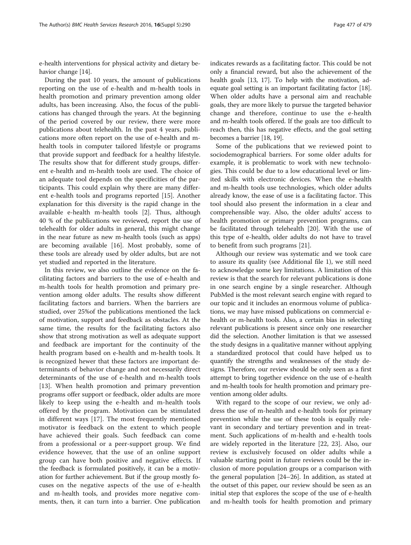e-health interventions for physical activity and dietary be-havior change [\[14\]](#page-12-0).

During the past 10 years, the amount of publications reporting on the use of e-health and m-health tools in health promotion and primary prevention among older adults, has been increasing. Also, the focus of the publications has changed through the years. At the beginning of the period covered by our review, there were more publications about telehealth. In the past 4 years, publications more often report on the use of e-health and mhealth tools in computer tailored lifestyle or programs that provide support and feedback for a healthy lifestyle. The results show that for different study groups, different e-health and m-health tools are used. The choice of an adequate tool depends on the specificities of the participants. This could explain why there are many different e-health tools and programs reported [\[15](#page-12-0)]. Another explanation for this diversity is the rapid change in the available e-health m-health tools [[2\]](#page-11-0). Thus, although 40 % of the publications we reviewed, report the use of telehealth for older adults in general, this might change in the near future as new m-health tools (such as apps) are becoming available [\[16](#page-12-0)]. Most probably, some of these tools are already used by older adults, but are not yet studied and reported in the literature.

In this review, we also outline the evidence on the facilitating factors and barriers to the use of e-health and m-health tools for health promotion and primary prevention among older adults. The results show different facilitating factors and barriers. When the barriers are studied, over 25%of the publications mentioned the lack of motivation, support and feedback as obstacles. At the same time, the results for the facilitating factors also show that strong motivation as well as adequate support and feedback are important for the continuity of the health program based on e-health and m-health tools. It is recognized hewer that these factors are important determinants of behavior change and not necessarily direct determinants of the use of e-health and m-health tools [[13\]](#page-12-0). When health promotion and primary prevention programs offer support or feedback, older adults are more likely to keep using the e-health and m-health tools offered by the program. Motivation can be stimulated in different ways [\[17](#page-12-0)]. The most frequently mentioned motivator is feedback on the extent to which people have achieved their goals. Such feedback can come from a professional or a peer-support group. We find evidence however, that the use of an online support group can have both positive and negative effects. If the feedback is formulated positively, it can be a motivation for further achievement. But if the group mostly focuses on the negative aspects of the use of e-health and m-health tools, and provides more negative comments, then, it can turn into a barrier. One publication indicates rewards as a facilitating factor. This could be not only a financial reward, but also the achievement of the health goals [\[13, 17\]](#page-12-0). To help with the motivation, adequate goal setting is an important facilitating factor [[18](#page-12-0)]. When older adults have a personal aim and reachable goals, they are more likely to pursue the targeted behavior change and therefore, continue to use the e-health and m-health tools offered. If the goals are too difficult to reach then, this has negative effects, and the goal setting becomes a barrier [[18](#page-12-0), [19\]](#page-12-0).

Some of the publications that we reviewed point to sociodemographical barriers. For some older adults for example, it is problematic to work with new technologies. This could be due to a low educational level or limited skills with electronic devices. When the e-health and m-health tools use technologies, which older adults already know, the ease of use is a facilitating factor. This tool should also present the information in a clear and comprehensible way. Also, the older adults' access to health promotion or primary prevention programs, can be facilitated through telehealth [[20\]](#page-12-0). With the use of this type of e-health, older adults do not have to travel to benefit from such programs [\[21\]](#page-12-0).

Although our review was systematic and we took care to assure its quality (see Additional file [1](#page-11-0)), we still need to acknowledge some key limitations. A limitation of this review is that the search for relevant publications is done in one search engine by a single researcher. Although PubMed is the most relevant search engine with regard to our topic and it includes an enormous volume of publications, we may have missed publications on commercial ehealth or m-health tools. Also, a certain bias in selecting relevant publications is present since only one researcher did the selection. Another limitation is that we assessed the study designs in a qualitative manner without applying a standardized protocol that could have helped us to quantify the strengths and weaknesses of the study designs. Therefore, our review should be only seen as a first attempt to bring together evidence on the use of e-health and m-health tools for health promotion and primary prevention among older adults.

With regard to the scope of our review, we only address the use of m-health and e-health tools for primary prevention while the use of these tools is equally relevant in secondary and tertiary prevention and in treatment. Such applications of m-health and e-health tools are widely reported in the literature [\[22](#page-12-0), [23](#page-12-0)]. Also, our review is exclusively focused on older adults while a valuable starting point in future reviews could be the inclusion of more population groups or a comparison with the general population [\[24](#page-12-0)–[26\]](#page-12-0). In addition, as stated at the outset of this paper, our review should be seen as an initial step that explores the scope of the use of e-health and m-health tools for health promotion and primary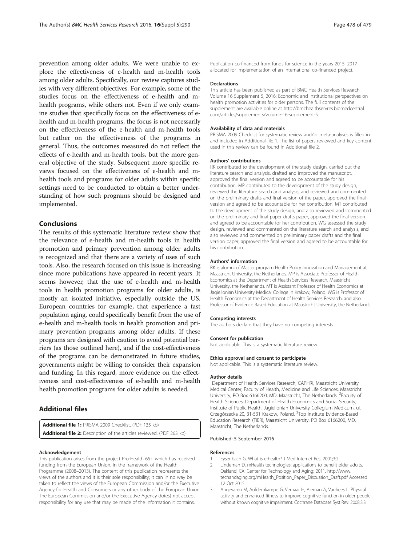<span id="page-11-0"></span>prevention among older adults. We were unable to explore the effectiveness of e-health and m-health tools among older adults. Specifically, our review captures studies with very different objectives. For example, some of the studies focus on the effectiveness of e-health and mhealth programs, while others not. Even if we only examine studies that specifically focus on the effectiveness of ehealth and m-health programs, the focus is not necessarily on the effectiveness of the e-health and m-health tools but rather on the effectiveness of the programs in general. Thus, the outcomes measured do not reflect the effects of e-health and m-health tools, but the more general objective of the study. Subsequent more specific reviews focused on the effectiveness of e-health and mhealth tools and programs for older adults within specific settings need to be conducted to obtain a better understanding of how such programs should be designed and implemented.

### Conclusions

The results of this systematic literature review show that the relevance of e-health and m-health tools in health promotion and primary prevention among older adults is recognized and that there are a variety of uses of such tools. Also, the research focused on this issue is increasing since more publications have appeared in recent years. It seems however, that the use of e-health and m-health tools in health promotion programs for older adults, is mostly an isolated initiative, especially outside the US. European countries for example, that experience a fast population aging, could specifically benefit from the use of e-health and m-health tools in health promotion and primary prevention programs among older adults. If these programs are designed with caution to avoid potential barriers (as those outlined here), and if the cost-effectiveness of the programs can be demonstrated in future studies, governments might be willing to consider their expansion and funding. In this regard, more evidence on the effectiveness and cost-effectiveness of e-health and m-health health promotion programs for older adults is needed.

# Additional files

[Additional file 1:](dx.doi.org/10.1186/s12913-016-1522-3) PRISMA 2009 Checklist. (PDF 135 kb) [Additional file 2:](dx.doi.org/10.1186/s12913-016-1522-3) Description of the articles reviewed. (PDF 263 kb)

#### Acknowledgement

This publication arises from the project Pro-Health 65+ which has received funding from the European Union, in the framework of the Health Programme (2008–2013). The content of this publication represents the views of the authors and it is their sole responsibility; it can in no way be taken to reflect the views of the European Commission and/or the Executive Agency for Health and Consumers or any other body of the European Union. The European Commission and/or the Executive Agency do(es) not accept responsibility for any use that may be made of the information it contains.

Publication co-financed from funds for science in the years 2015–2017 allocated for implementation of an international co-financed project.

#### Declarations

This article has been published as part of BMC Health Services Research Volume 16 Supplement 5, 2016: Economic and institutional perspectives on health promotion activities for older persons. The full contents of the supplement are available online at [http://bmchealthservres.biomedcentral.](http://bmchealthservres.biomedcentral.com/articles/supplements/volume-16-supplement-5) [com/articles/supplements/volume-16-supplement-5.](http://bmchealthservres.biomedcentral.com/articles/supplements/volume-16-supplement-5)

#### Availability of data and materials

PRISMA 2009 Checklist for systematic review and/or meta-analyses is filled in and included in Additional file 1. The list of papers reviewed and key content used in this review can be found in Additional file 2.

#### Authors' contributions

RK contributed to the development of the study design, carried out the literature search and analysis, drafted and improved the manuscript, approved the final version and agreed to be accountable for his contribution. MP contributed to the development of the study design, reviewed the literature search and analysis, and reviewed and commented on the preliminary drafts and final version of the paper, approved the final version and agreed to be accountable for her contribution. MT contributed to the development of the study design, and also reviewed and commented on the preliminary and final paper drafts paper, approved the final version and agreed to be accountable for her contribution. WG assessed the study design, reviewed and commented on the literature search and analysis, and also reviewed and commented on preliminary paper drafts and the final version paper, approved the final version and agreed to be accountable for his contribution.

#### Authors' information

RK is alumni of Master program Health Policy Innovation and Management at Maastricht University, the Netherlands. MP is Associate Professor of Health Economics at the Department of Health Services Research, Maastricht University, the Netherlands. MT is Assistant Professor of Health Economics at Jagiellonian University Medical College in Krakow, Poland. WG is Professor of Health Economics at the Department of Health Services Research, and also Professor of Evidence Based Education at Maastricht University, the Netherlands.

#### Competing interests

The authors declare that they have no competing interests.

Consent for publication Not applicable. This is a systematic literature review.

#### Ethics approval and consent to participate

Not applicable. This is a systematic literature review.

#### Author details

<sup>1</sup>Department of Health Services Research, CAPHRI, Maastricht University Medical Center, Faculty of Health, Medicine and Life Sciences, Maastricht University, PO Box 6166200, MD, Maastricht, The Netherlands. <sup>2</sup>Faculty of Health Sciences, Department of Health Economics and Social Security, Institute of Public Health, Jagiellonian University Collegium Medicum, ul. Grzegórzecka 20, 31-531 Krakow, Poland. <sup>3</sup>Top Institute Evidence-Based Education Research (TIER), Maastricht University, PO Box 6166200, MD, Maastricht, The Netherlands.

Published: 5 September 2016

#### References

- 1. Eysenbach G. What is e-health? J Med Internet Res. 2001;3:2.
- 2. Lindeman D. mHealth technologies: applications to benefit older adults. Oakland, CA: Center for Technology and Aging; 2011. [http://www.](http://www.techandaging.org/mHealth_Position_Paper_Discussion_Draft.pdf) [techandaging.org/mHealth\\_Position\\_Paper\\_Discussion\\_Draft.pdf](http://www.techandaging.org/mHealth_Position_Paper_Discussion_Draft.pdf) Accessed 12 Oct 2015.
- 3. Angevaren M, Aufdemkampe G, Verhaar H, Aleman A, Vanhees L. Physical activity and enhanced fitness to improve cognitive function in older people without known cognitive impairment. Cochrane Database Syst Rev. 2008;3:3.